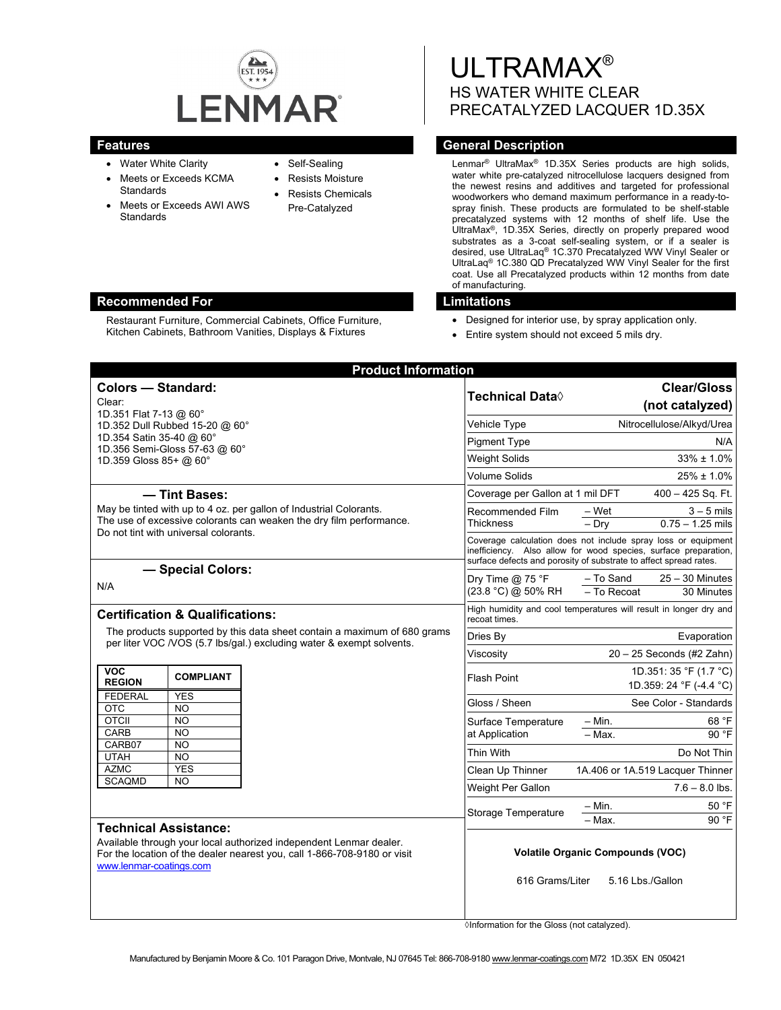

- Water White Clarity
- Meets or Exceeds KCMA **Standards**
- Meets or Exceeds AWI AWS **Standards**
- Self-Sealing
- Resists Moisture
- Resists Chemicals Pre-Catalyzed

ULTRAMAX® HS WATER WHITE CLEAR PRECATALYZED LACQUER 1D.35X

# **Features General Description Contract Description Acts and Acts and Acts and Acts and Acts and Acts and Acts and Acts and Acts and Acts and Acts and Acts and Acts and Acts and Acts and Acts and Acts and Acts and Acts and**

Lenmar® UltraMax® 1D.35X Series products are high solids, water white pre-catalyzed nitrocellulose lacquers designed from the newest resins and additives and targeted for professional woodworkers who demand maximum performance in a ready-tospray finish. These products are formulated to be shelf-stable precatalyzed systems with 12 months of shelf life. Use the UltraMax®, 1D.35X Series, directly on properly prepared wood substrates as a 3-coat self-sealing system, or if a sealer is desired, use UltraLaq® 1C.370 Precatalyzed WW Vinyl Sealer or UltraLaq® 1C.380 QD Precatalyzed WW Vinyl Sealer for the first coat. Use all Precatalyzed products within 12 months from date of manufacturing.

- Designed for interior use, by spray application only.
- Entire system should not exceed 5 mils dry.

| <b>Product Information</b>                                                                                                                                                                                |                                          |                                                                                                                                                                                                       |
|-----------------------------------------------------------------------------------------------------------------------------------------------------------------------------------------------------------|------------------------------------------|-------------------------------------------------------------------------------------------------------------------------------------------------------------------------------------------------------|
| <b>Colors - Standard:</b><br>Clear:<br>1D.351 Flat 7-13 @ 60°                                                                                                                                             | Technical Data◊                          | <b>Clear/Gloss</b><br>(not catalyzed)                                                                                                                                                                 |
| 1D.352 Dull Rubbed 15-20 @ 60°                                                                                                                                                                            | Vehicle Type                             | Nitrocellulose/Alkyd/Urea                                                                                                                                                                             |
| 1D.354 Satin 35-40 @ 60°<br>1D.356 Semi-Gloss 57-63 @ 60°                                                                                                                                                 | <b>Pigment Type</b>                      | N/A                                                                                                                                                                                                   |
| 1D.359 Gloss 85+ @ 60°                                                                                                                                                                                    | <b>Weight Solids</b>                     | $33\% \pm 1.0\%$                                                                                                                                                                                      |
|                                                                                                                                                                                                           | Volume Solids                            | $25\% \pm 1.0\%$                                                                                                                                                                                      |
| - Tint Bases:<br>May be tinted with up to 4 oz. per gallon of Industrial Colorants.<br>The use of excessive colorants can weaken the dry film performance.<br>Do not tint with universal colorants.       | Coverage per Gallon at 1 mil DFT         | 400 - 425 Sq. Ft.                                                                                                                                                                                     |
|                                                                                                                                                                                                           | Recommended Film<br>Thickness            | $3 - 5$ mils<br>– Wet<br>$-$ Dry<br>$0.75 - 1.25$ mils                                                                                                                                                |
|                                                                                                                                                                                                           |                                          | Coverage calculation does not include spray loss or equipment<br>inefficiency. Also allow for wood species, surface preparation,<br>surface defects and porosity of substrate to affect spread rates. |
| - Special Colors:<br>N/A                                                                                                                                                                                  | Dry Time $@$ 75 °F<br>(23.8 °C) @ 50% RH | - To Sand<br>$25 - 30$ Minutes<br>- To Recoat<br>30 Minutes                                                                                                                                           |
| <b>Certification &amp; Qualifications:</b><br>The products supported by this data sheet contain a maximum of 680 grams<br>per liter VOC /VOS (5.7 lbs/gal.) excluding water & exempt solvents.            | recoat times.                            | High humidity and cool temperatures will result in longer dry and                                                                                                                                     |
|                                                                                                                                                                                                           | Dries By                                 | Evaporation                                                                                                                                                                                           |
|                                                                                                                                                                                                           | Viscosity                                | $20 - 25$ Seconds (#2 Zahn)                                                                                                                                                                           |
| <b>VOC</b><br><b>COMPLIANT</b><br><b>REGION</b>                                                                                                                                                           | Flash Point                              | 1D.351: 35 °F (1.7 °C)<br>1D.359: 24 °F (-4.4 °C)                                                                                                                                                     |
| <b>FEDERAL</b><br><b>YES</b><br><b>OTC</b><br>NO.                                                                                                                                                         | Gloss / Sheen                            | See Color - Standards                                                                                                                                                                                 |
| <b>OTCII</b><br><b>NO</b><br>CARB<br><b>NO</b>                                                                                                                                                            | Surface Temperature<br>at Application    | 68 °F<br>– Min.<br>$-Max$ .<br>90 °F                                                                                                                                                                  |
| CARB07<br><b>NO</b><br><b>UTAH</b><br><b>NO</b>                                                                                                                                                           | <b>Thin With</b>                         | Do Not Thin                                                                                                                                                                                           |
| <b>YES</b><br><b>AZMC</b>                                                                                                                                                                                 | Clean Up Thinner                         | 1A.406 or 1A.519 Lacquer Thinner                                                                                                                                                                      |
| <b>SCAQMD</b><br><b>NO</b>                                                                                                                                                                                | Weight Per Gallon                        | $7.6 - 8.0$ lbs.                                                                                                                                                                                      |
|                                                                                                                                                                                                           | <b>Storage Temperature</b>               | $-$ Min.<br>50 °F<br>- Max.<br>90 °F                                                                                                                                                                  |
| <b>Technical Assistance:</b><br>Available through your local authorized independent Lenmar dealer.<br>For the location of the dealer nearest you, call 1-866-708-9180 or visit<br>www.lenmar-coatings.com | 616 Grams/Liter                          | <b>Volatile Organic Compounds (VOC)</b><br>5.16 Lbs./Gallon                                                                                                                                           |

◊Information for the Gloss (not catalyzed).

## **Recommended For Limitations**

Restaurant Furniture, Commercial Cabinets, Office Furniture, Kitchen Cabinets, Bathroom Vanities, Displays & Fixtures